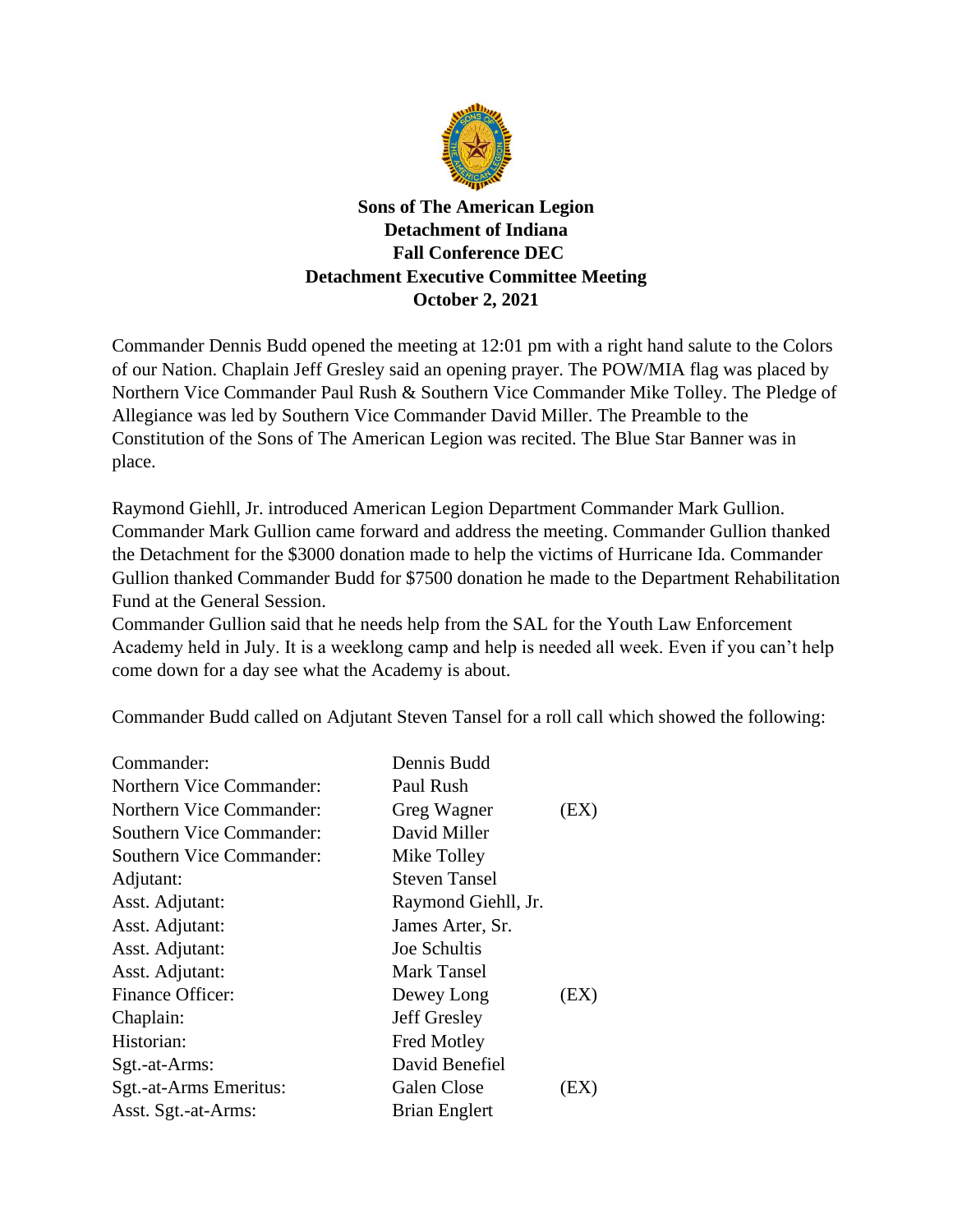

**Sons of The American Legion Detachment of Indiana Fall Conference DEC Detachment Executive Committee Meeting October 2, 2021**

Commander Dennis Budd opened the meeting at 12:01 pm with a right hand salute to the Colors of our Nation. Chaplain Jeff Gresley said an opening prayer. The POW/MIA flag was placed by Northern Vice Commander Paul Rush & Southern Vice Commander Mike Tolley. The Pledge of Allegiance was led by Southern Vice Commander David Miller. The Preamble to the Constitution of the Sons of The American Legion was recited. The Blue Star Banner was in place.

Raymond Giehll, Jr. introduced American Legion Department Commander Mark Gullion. Commander Mark Gullion came forward and address the meeting. Commander Gullion thanked the Detachment for the \$3000 donation made to help the victims of Hurricane Ida. Commander Gullion thanked Commander Budd for \$7500 donation he made to the Department Rehabilitation Fund at the General Session.

Commander Gullion said that he needs help from the SAL for the Youth Law Enforcement Academy held in July. It is a weeklong camp and help is needed all week. Even if you can't help come down for a day see what the Academy is about.

Commander Budd called on Adjutant Steven Tansel for a roll call which showed the following:

| Commander:                      | Dennis Budd          |      |
|---------------------------------|----------------------|------|
| Northern Vice Commander:        | Paul Rush            |      |
| <b>Northern Vice Commander:</b> | Greg Wagner          | (EX) |
| Southern Vice Commander:        | David Miller         |      |
| Southern Vice Commander:        | Mike Tolley          |      |
| Adjutant:                       | <b>Steven Tansel</b> |      |
| Asst. Adjutant:                 | Raymond Giehll, Jr.  |      |
| Asst. Adjutant:                 | James Arter, Sr.     |      |
| Asst. Adjutant:                 | Joe Schultis         |      |
| Asst. Adjutant:                 | Mark Tansel          |      |
| Finance Officer:                | Dewey Long           | (EX) |
| Chaplain:                       | Jeff Gresley         |      |
| Historian:                      | <b>Fred Motley</b>   |      |
| Sgt.-at-Arms:                   | David Benefiel       |      |
| Sgt.-at-Arms Emeritus:          | <b>Galen Close</b>   | EХ   |
| Asst. Sgt.-at-Arms:             | <b>Brian Englert</b> |      |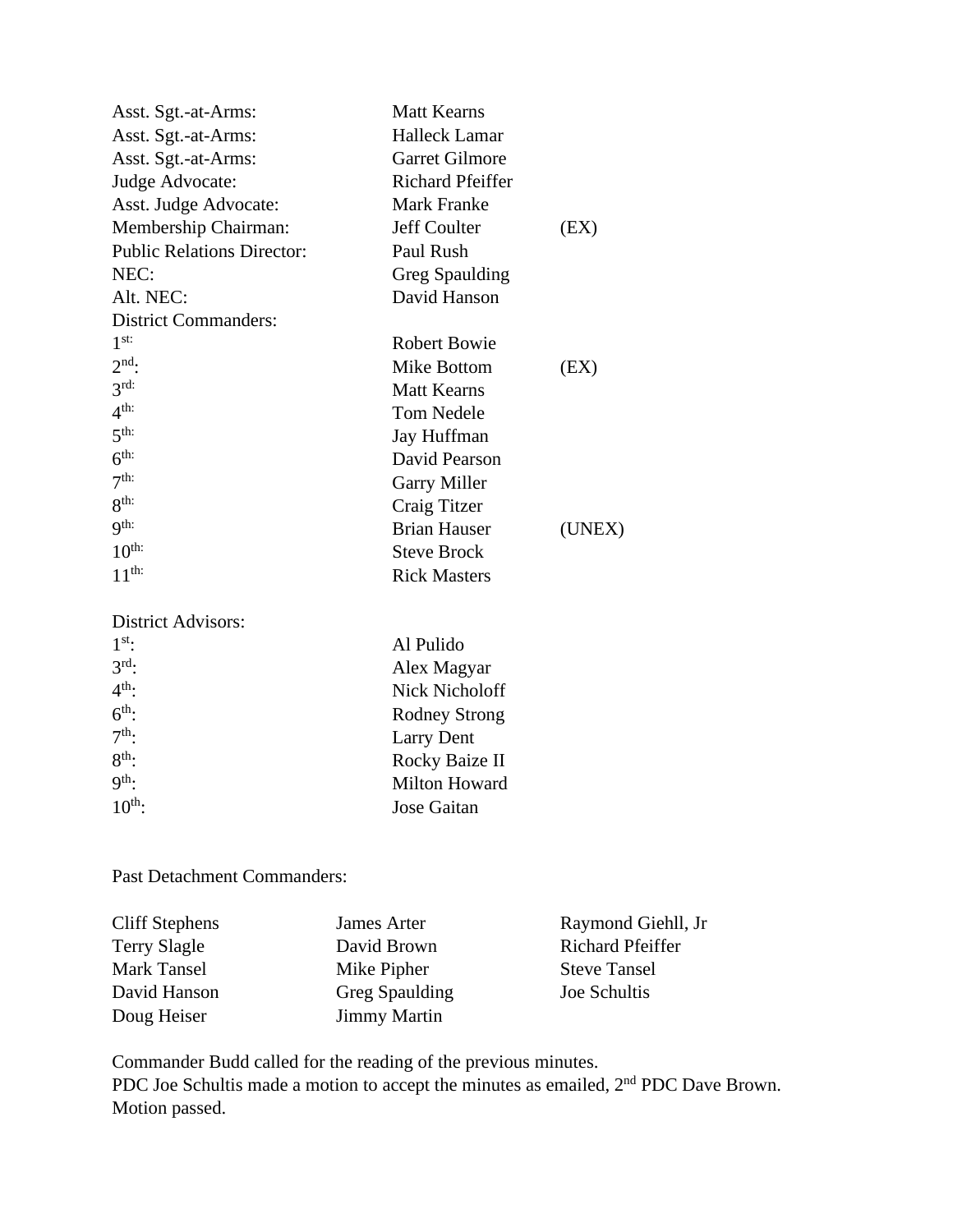| Asst. Sgt.-at-Arms:               | <b>Matt Kearns</b>      |        |
|-----------------------------------|-------------------------|--------|
| Asst. Sgt.-at-Arms:               | <b>Halleck Lamar</b>    |        |
| Asst. Sgt.-at-Arms:               | <b>Garret Gilmore</b>   |        |
| Judge Advocate:                   | <b>Richard Pfeiffer</b> |        |
| Asst. Judge Advocate:             | Mark Franke             |        |
| Membership Chairman:              | Jeff Coulter            | (EX)   |
| <b>Public Relations Director:</b> | Paul Rush               |        |
| NEC:                              | Greg Spaulding          |        |
| Alt. NEC:                         | David Hanson            |        |
| <b>District Commanders:</b>       |                         |        |
| 1 <sup>st</sup>                   | <b>Robert Bowie</b>     |        |
| $2nd$ :                           | Mike Bottom             | (EX)   |
| $3rd$ :                           | <b>Matt Kearns</b>      |        |
| 4 <sup>th</sup>                   | <b>Tom Nedele</b>       |        |
| $5^{\text{th}}$                   | Jay Huffman             |        |
| 6 <sup>th</sup>                   | David Pearson           |        |
| 7 <sup>th</sup>                   | <b>Garry Miller</b>     |        |
| 8 <sup>th</sup>                   | Craig Titzer            |        |
| 9 <sup>th:</sup>                  | <b>Brian Hauser</b>     | (UNEX) |
| 10 <sup>th</sup>                  | <b>Steve Brock</b>      |        |
| $11^{\text{th}}$                  | <b>Rick Masters</b>     |        |
| <b>District Advisors:</b>         |                         |        |
| 1 <sup>st</sup>                   | Al Pulido               |        |
| $3rd$ .                           | Alex Magyar             |        |
| $4th$ :                           | <b>Nick Nicholoff</b>   |        |
| $6^{\text{th}}$ :                 | <b>Rodney Strong</b>    |        |
| $7th$ :                           | <b>Larry Dent</b>       |        |
| $8th$ :                           | Rocky Baize II          |        |
| 9 <sup>th</sup> :                 | Milton Howard           |        |
| $10^{\text{th}}$ :                | <b>Jose Gaitan</b>      |        |

Past Detachment Commanders:

| Cliff Stephens      | James Arter         | Raymond Giehll, Jr      |
|---------------------|---------------------|-------------------------|
| <b>Terry Slagle</b> | David Brown         | <b>Richard Pfeiffer</b> |
| Mark Tansel         | Mike Pipher         | <b>Steve Tansel</b>     |
| David Hanson        | Greg Spaulding      | Joe Schultis            |
| Doug Heiser         | <b>Jimmy Martin</b> |                         |

Commander Budd called for the reading of the previous minutes. PDC Joe Schultis made a motion to accept the minutes as emailed, 2<sup>nd</sup> PDC Dave Brown. Motion passed.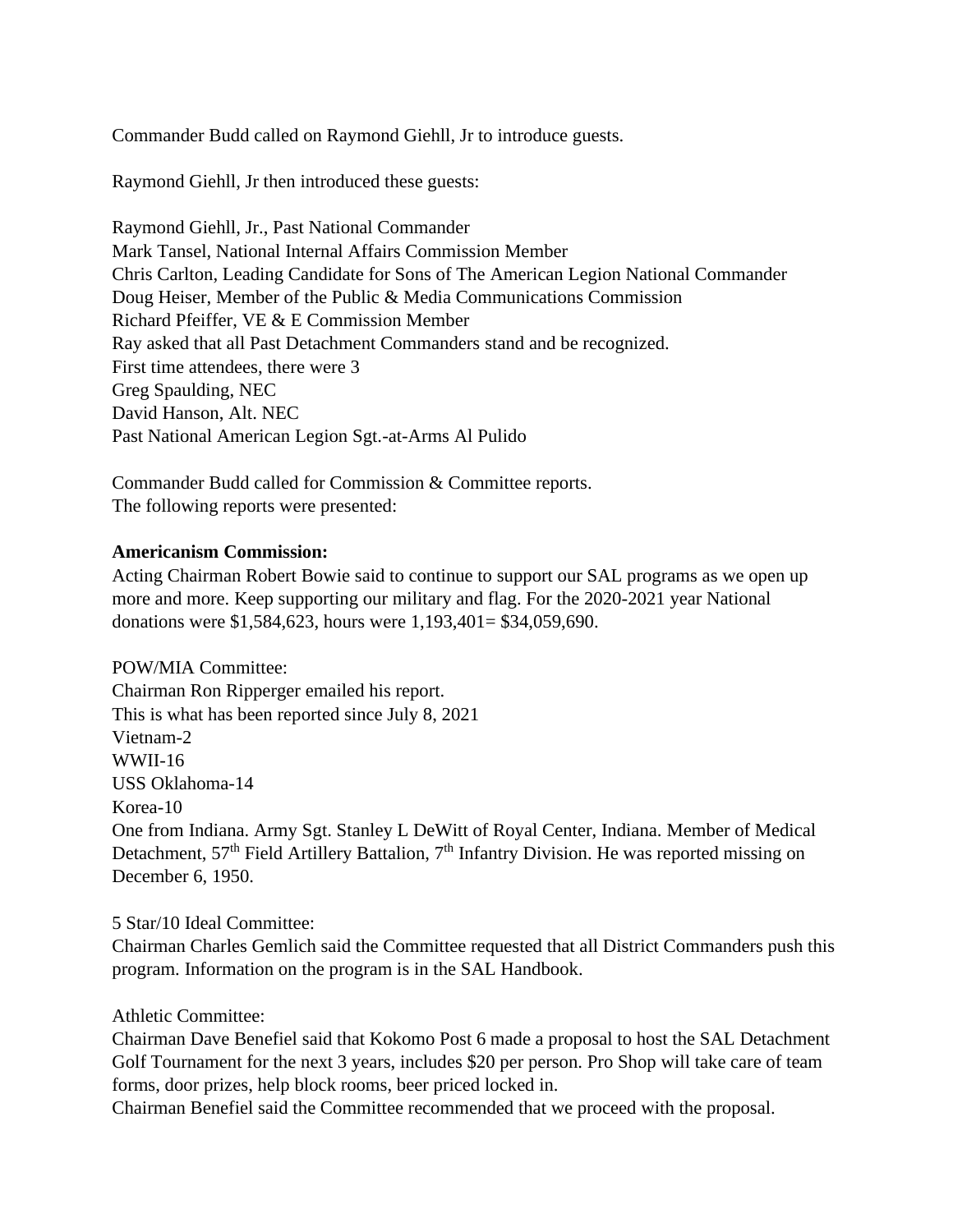Commander Budd called on Raymond Giehll, Jr to introduce guests.

Raymond Giehll, Jr then introduced these guests:

Raymond Giehll, Jr., Past National Commander Mark Tansel, National Internal Affairs Commission Member Chris Carlton, Leading Candidate for Sons of The American Legion National Commander Doug Heiser, Member of the Public & Media Communications Commission Richard Pfeiffer, VE & E Commission Member Ray asked that all Past Detachment Commanders stand and be recognized. First time attendees, there were 3 Greg Spaulding, NEC David Hanson, Alt. NEC Past National American Legion Sgt.-at-Arms Al Pulido

Commander Budd called for Commission & Committee reports. The following reports were presented:

## **Americanism Commission:**

Acting Chairman Robert Bowie said to continue to support our SAL programs as we open up more and more. Keep supporting our military and flag. For the 2020-2021 year National donations were \$1,584,623, hours were 1,193,401= \$34,059,690.

POW/MIA Committee: Chairman Ron Ripperger emailed his report. This is what has been reported since July 8, 2021 Vietnam-2 WWII-16 USS Oklahoma-14 Korea-10 One from Indiana. Army Sgt. Stanley L DeWitt of Royal Center, Indiana. Member of Medical Detachment, 57<sup>th</sup> Field Artillery Battalion, 7<sup>th</sup> Infantry Division. He was reported missing on December 6, 1950.

# 5 Star/10 Ideal Committee:

Chairman Charles Gemlich said the Committee requested that all District Commanders push this program. Information on the program is in the SAL Handbook.

# Athletic Committee:

Chairman Dave Benefiel said that Kokomo Post 6 made a proposal to host the SAL Detachment Golf Tournament for the next 3 years, includes \$20 per person. Pro Shop will take care of team forms, door prizes, help block rooms, beer priced locked in.

Chairman Benefiel said the Committee recommended that we proceed with the proposal.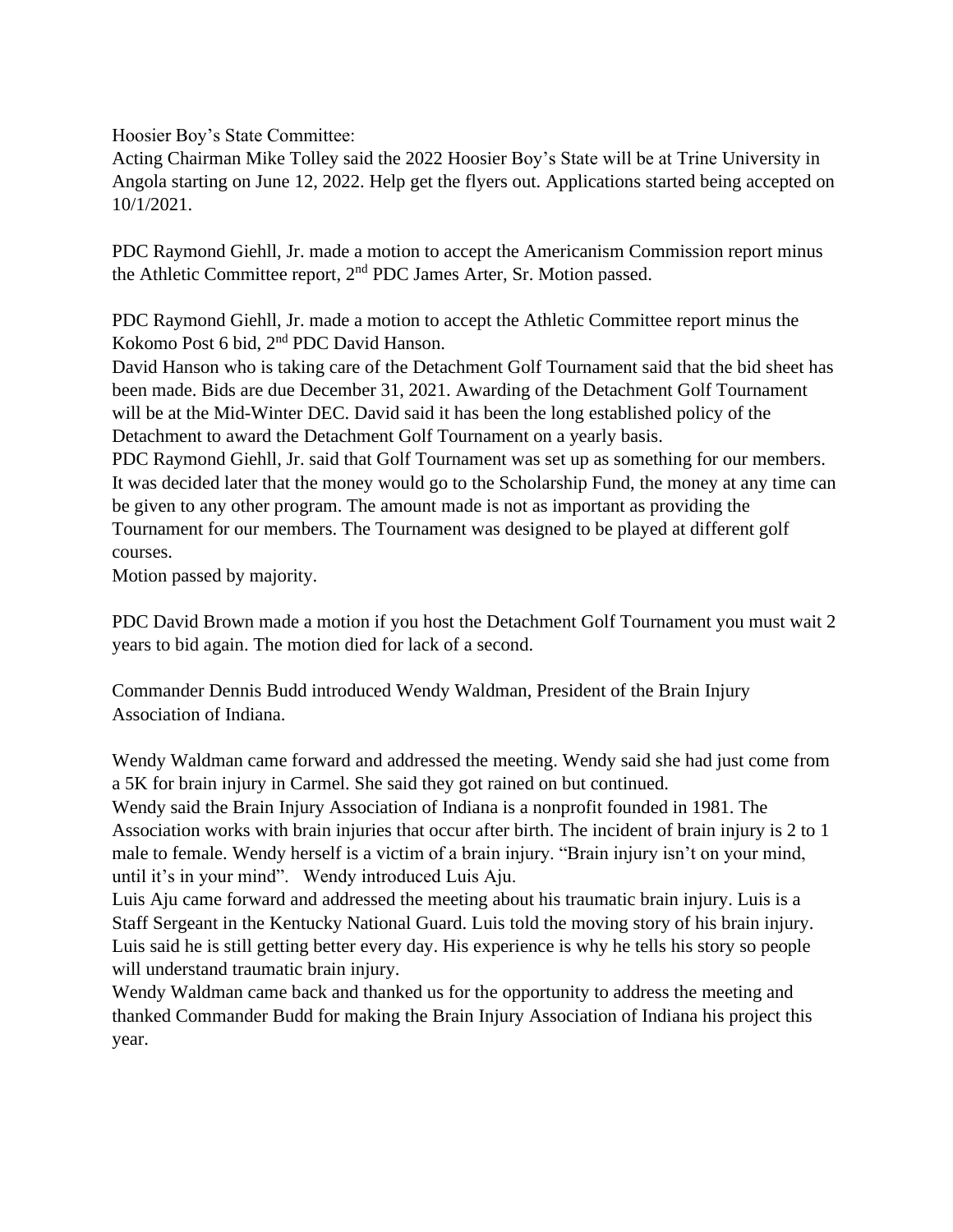Hoosier Boy's State Committee:

Acting Chairman Mike Tolley said the 2022 Hoosier Boy's State will be at Trine University in Angola starting on June 12, 2022. Help get the flyers out. Applications started being accepted on 10/1/2021.

PDC Raymond Giehll, Jr. made a motion to accept the Americanism Commission report minus the Athletic Committee report, 2nd PDC James Arter, Sr. Motion passed.

PDC Raymond Giehll, Jr. made a motion to accept the Athletic Committee report minus the Kokomo Post 6 bid, 2nd PDC David Hanson.

David Hanson who is taking care of the Detachment Golf Tournament said that the bid sheet has been made. Bids are due December 31, 2021. Awarding of the Detachment Golf Tournament will be at the Mid-Winter DEC. David said it has been the long established policy of the Detachment to award the Detachment Golf Tournament on a yearly basis.

PDC Raymond Giehll, Jr. said that Golf Tournament was set up as something for our members. It was decided later that the money would go to the Scholarship Fund, the money at any time can be given to any other program. The amount made is not as important as providing the Tournament for our members. The Tournament was designed to be played at different golf courses.

Motion passed by majority.

PDC David Brown made a motion if you host the Detachment Golf Tournament you must wait 2 years to bid again. The motion died for lack of a second.

Commander Dennis Budd introduced Wendy Waldman, President of the Brain Injury Association of Indiana.

Wendy Waldman came forward and addressed the meeting. Wendy said she had just come from a 5K for brain injury in Carmel. She said they got rained on but continued.

Wendy said the Brain Injury Association of Indiana is a nonprofit founded in 1981. The Association works with brain injuries that occur after birth. The incident of brain injury is 2 to 1 male to female. Wendy herself is a victim of a brain injury. "Brain injury isn't on your mind, until it's in your mind". Wendy introduced Luis Aju.

Luis Aju came forward and addressed the meeting about his traumatic brain injury. Luis is a Staff Sergeant in the Kentucky National Guard. Luis told the moving story of his brain injury. Luis said he is still getting better every day. His experience is why he tells his story so people will understand traumatic brain injury.

Wendy Waldman came back and thanked us for the opportunity to address the meeting and thanked Commander Budd for making the Brain Injury Association of Indiana his project this year.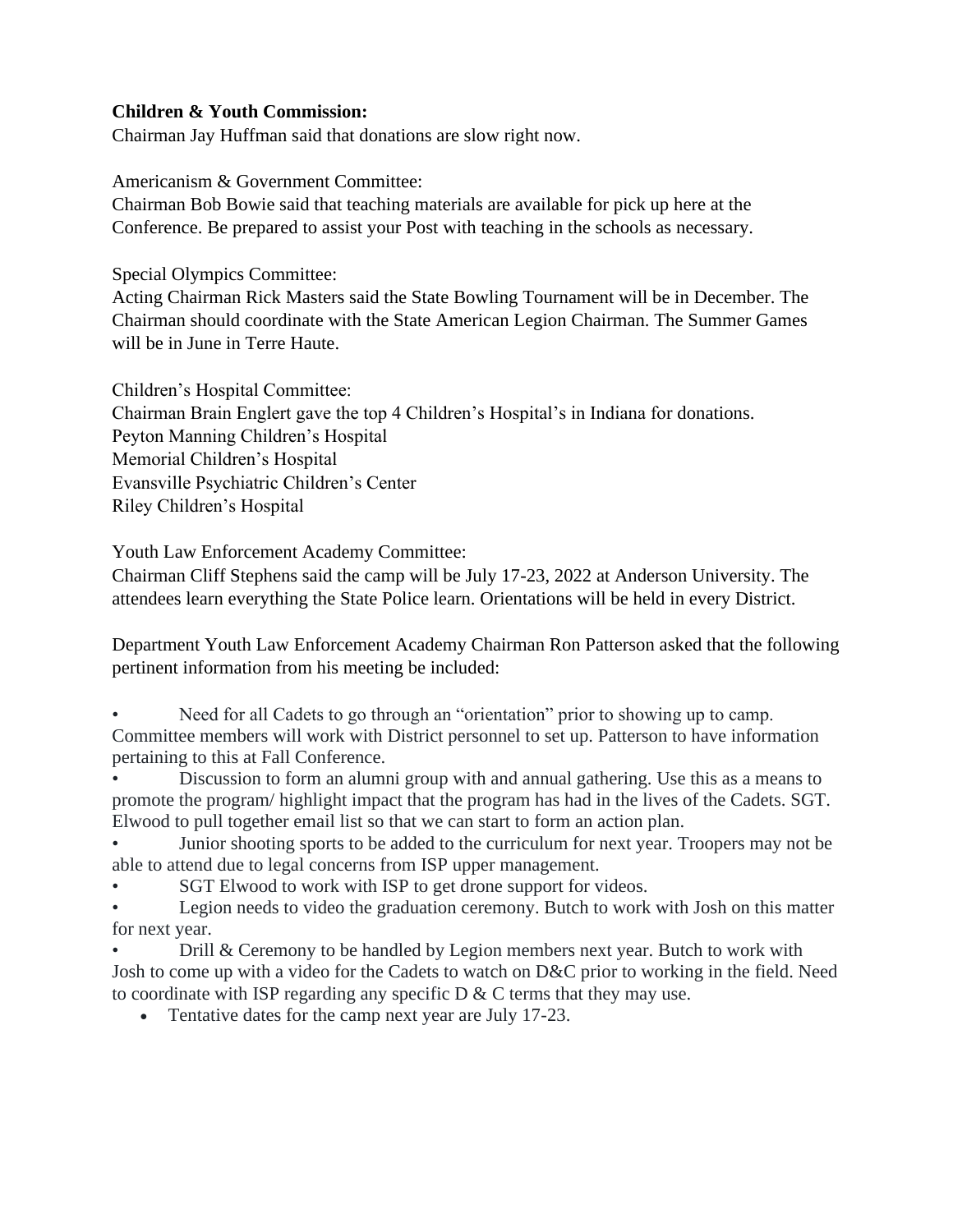# **Children & Youth Commission:**

Chairman Jay Huffman said that donations are slow right now.

Americanism & Government Committee:

Chairman Bob Bowie said that teaching materials are available for pick up here at the Conference. Be prepared to assist your Post with teaching in the schools as necessary.

Special Olympics Committee:

Acting Chairman Rick Masters said the State Bowling Tournament will be in December. The Chairman should coordinate with the State American Legion Chairman. The Summer Games will be in June in Terre Haute.

Children's Hospital Committee: Chairman Brain Englert gave the top 4 Children's Hospital's in Indiana for donations. Peyton Manning Children's Hospital Memorial Children's Hospital Evansville Psychiatric Children's Center Riley Children's Hospital

Youth Law Enforcement Academy Committee:

Chairman Cliff Stephens said the camp will be July 17-23, 2022 at Anderson University. The attendees learn everything the State Police learn. Orientations will be held in every District.

Department Youth Law Enforcement Academy Chairman Ron Patterson asked that the following pertinent information from his meeting be included:

Need for all Cadets to go through an "orientation" prior to showing up to camp. Committee members will work with District personnel to set up. Patterson to have information pertaining to this at Fall Conference.

• Discussion to form an alumni group with and annual gathering. Use this as a means to promote the program/ highlight impact that the program has had in the lives of the Cadets. SGT. Elwood to pull together email list so that we can start to form an action plan.

• Junior shooting sports to be added to the curriculum for next year. Troopers may not be able to attend due to legal concerns from ISP upper management.

SGT Elwood to work with ISP to get drone support for videos.

• Legion needs to video the graduation ceremony. Butch to work with Josh on this matter for next year.

• Drill & Ceremony to be handled by Legion members next year. Butch to work with Josh to come up with a video for the Cadets to watch on D&C prior to working in the field. Need to coordinate with ISP regarding any specific  $D \& C$  terms that they may use.

• Tentative dates for the camp next year are July 17-23.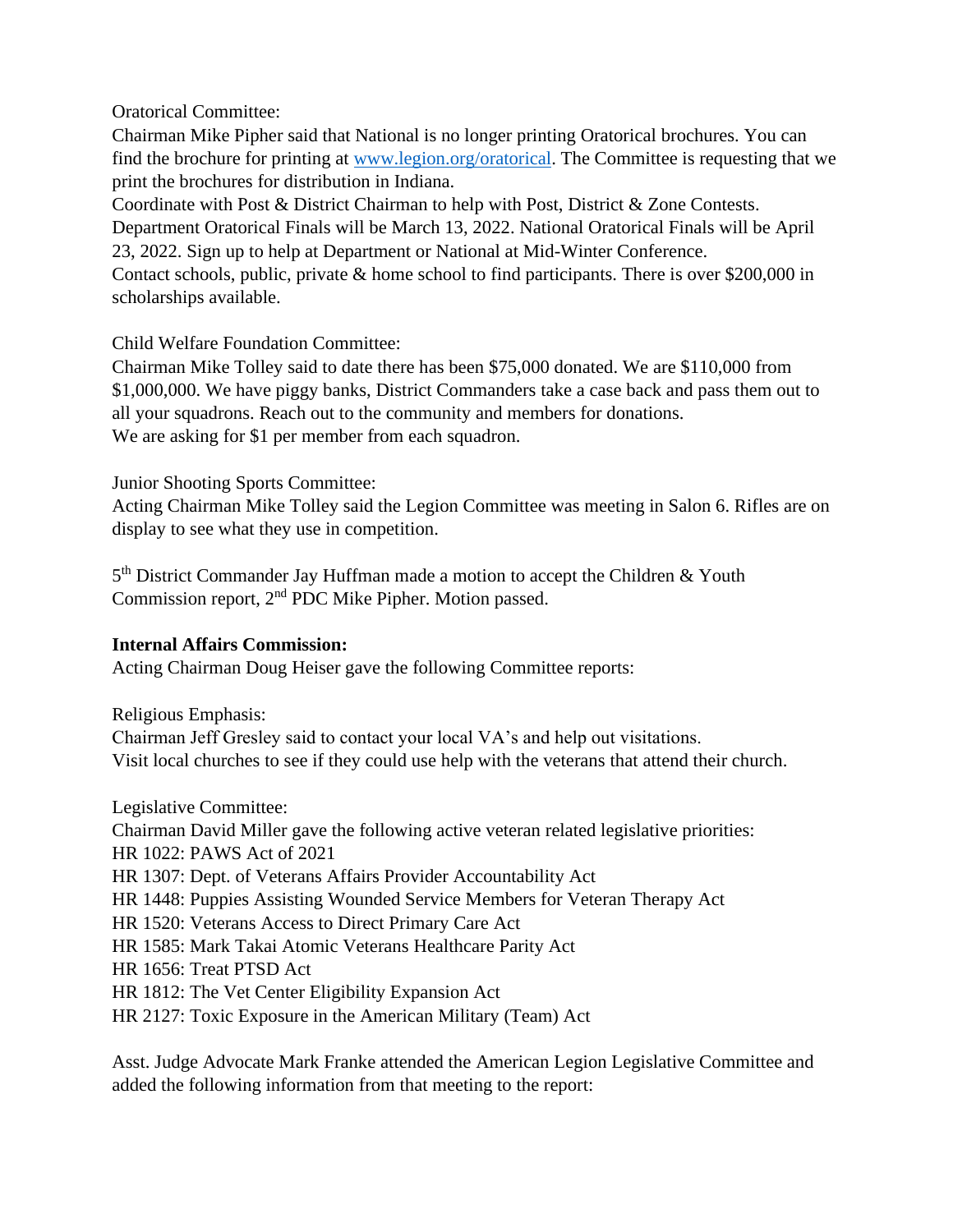Oratorical Committee:

Chairman Mike Pipher said that National is no longer printing Oratorical brochures. You can find the brochure for printing at [www.legion.org/oratorical.](http://www.legion.org/oratorical) The Committee is requesting that we print the brochures for distribution in Indiana.

Coordinate with Post & District Chairman to help with Post, District & Zone Contests. Department Oratorical Finals will be March 13, 2022. National Oratorical Finals will be April 23, 2022. Sign up to help at Department or National at Mid-Winter Conference. Contact schools, public, private & home school to find participants. There is over \$200,000 in scholarships available.

Child Welfare Foundation Committee:

Chairman Mike Tolley said to date there has been \$75,000 donated. We are \$110,000 from \$1,000,000. We have piggy banks, District Commanders take a case back and pass them out to all your squadrons. Reach out to the community and members for donations. We are asking for \$1 per member from each squadron.

Junior Shooting Sports Committee:

Acting Chairman Mike Tolley said the Legion Committee was meeting in Salon 6. Rifles are on display to see what they use in competition.

5<sup>th</sup> District Commander Jay Huffman made a motion to accept the Children & Youth Commission report, 2nd PDC Mike Pipher. Motion passed.

# **Internal Affairs Commission:**

Acting Chairman Doug Heiser gave the following Committee reports:

Religious Emphasis:

Chairman Jeff Gresley said to contact your local VA's and help out visitations. Visit local churches to see if they could use help with the veterans that attend their church.

Legislative Committee: Chairman David Miller gave the following active veteran related legislative priorities: HR 1022: PAWS Act of 2021 HR 1307: Dept. of Veterans Affairs Provider Accountability Act HR 1448: Puppies Assisting Wounded Service Members for Veteran Therapy Act HR 1520: Veterans Access to Direct Primary Care Act HR 1585: Mark Takai Atomic Veterans Healthcare Parity Act HR 1656: Treat PTSD Act HR 1812: The Vet Center Eligibility Expansion Act HR 2127: Toxic Exposure in the American Military (Team) Act

Asst. Judge Advocate Mark Franke attended the American Legion Legislative Committee and added the following information from that meeting to the report: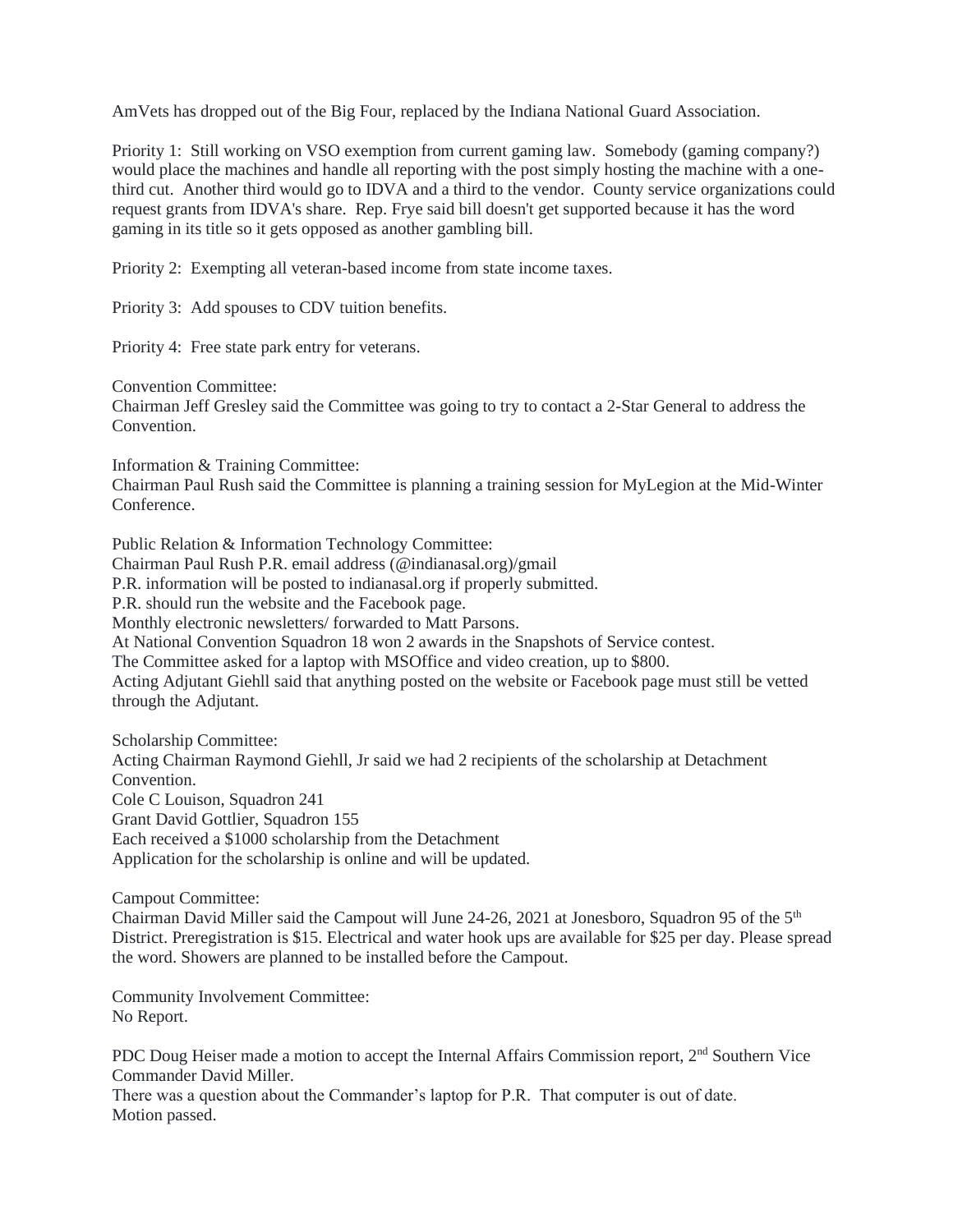AmVets has dropped out of the Big Four, replaced by the Indiana National Guard Association.

Priority 1: Still working on VSO exemption from current gaming law. Somebody (gaming company?) would place the machines and handle all reporting with the post simply hosting the machine with a onethird cut. Another third would go to IDVA and a third to the vendor. County service organizations could request grants from IDVA's share. Rep. Frye said bill doesn't get supported because it has the word gaming in its title so it gets opposed as another gambling bill.

Priority 2: Exempting all veteran-based income from state income taxes.

Priority 3: Add spouses to CDV tuition benefits.

Priority 4: Free state park entry for veterans.

Convention Committee:

Chairman Jeff Gresley said the Committee was going to try to contact a 2-Star General to address the Convention.

Information & Training Committee:

Chairman Paul Rush said the Committee is planning a training session for MyLegion at the Mid-Winter Conference.

Public Relation & Information Technology Committee:

Chairman Paul Rush P.R. email address (@indianasal.org)/gmail

P.R. information will be posted to indianasal.org if properly submitted.

P.R. should run the website and the Facebook page.

Monthly electronic newsletters/ forwarded to Matt Parsons.

At National Convention Squadron 18 won 2 awards in the Snapshots of Service contest.

The Committee asked for a laptop with MSOffice and video creation, up to \$800.

Acting Adjutant Giehll said that anything posted on the website or Facebook page must still be vetted through the Adjutant.

Scholarship Committee: Acting Chairman Raymond Giehll, Jr said we had 2 recipients of the scholarship at Detachment Convention. Cole C Louison, Squadron 241 Grant David Gottlier, Squadron 155 Each received a \$1000 scholarship from the Detachment Application for the scholarship is online and will be updated.

Campout Committee:

Chairman David Miller said the Campout will June 24-26, 2021 at Jonesboro, Squadron 95 of the 5th District. Preregistration is \$15. Electrical and water hook ups are available for \$25 per day. Please spread the word. Showers are planned to be installed before the Campout.

Community Involvement Committee: No Report.

PDC Doug Heiser made a motion to accept the Internal Affairs Commission report, 2<sup>nd</sup> Southern Vice Commander David Miller.

There was a question about the Commander's laptop for P.R. That computer is out of date. Motion passed.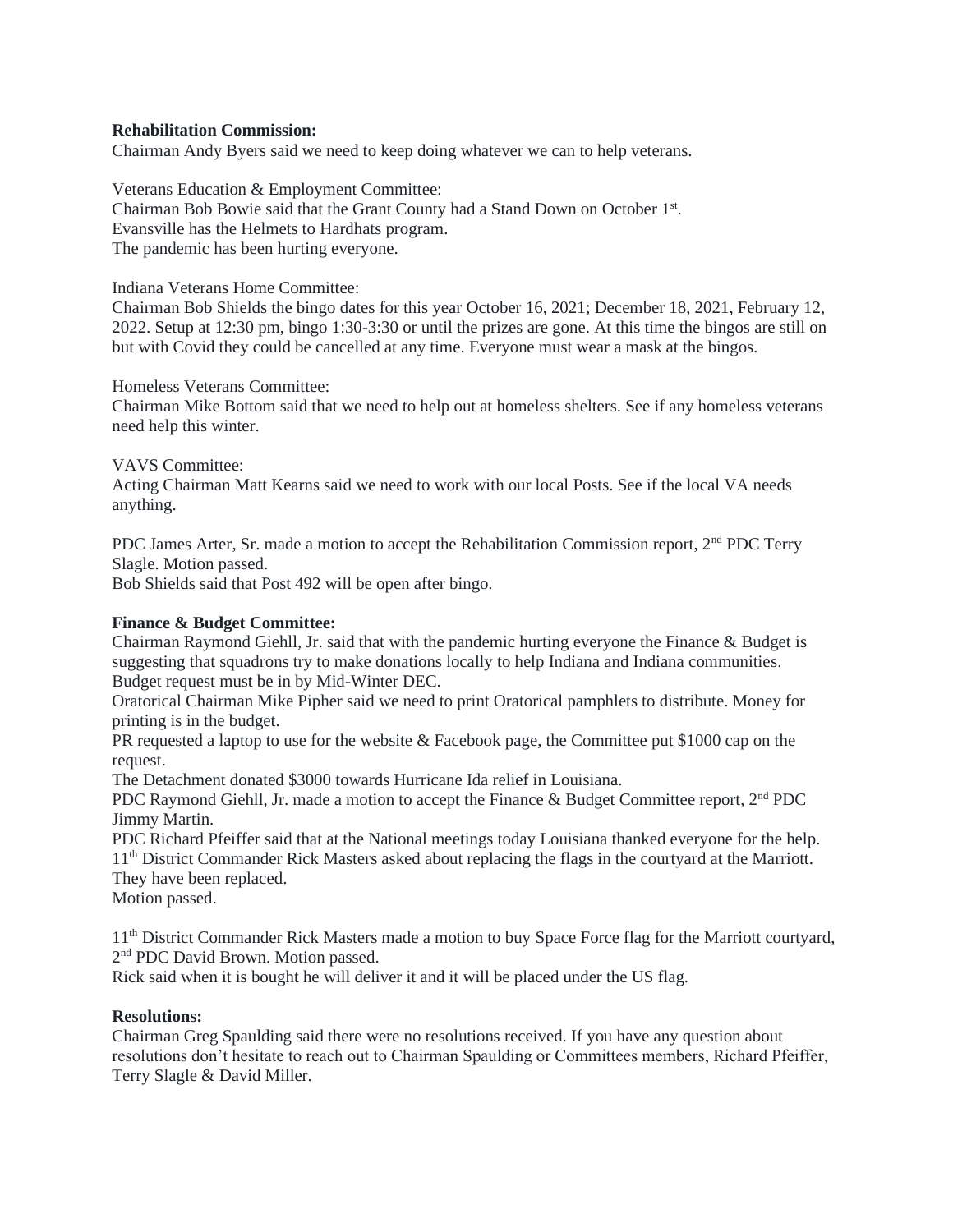## **Rehabilitation Commission:**

Chairman Andy Byers said we need to keep doing whatever we can to help veterans.

Veterans Education & Employment Committee: Chairman Bob Bowie said that the Grant County had a Stand Down on October 1<sup>st</sup>. Evansville has the Helmets to Hardhats program. The pandemic has been hurting everyone.

Indiana Veterans Home Committee:

Chairman Bob Shields the bingo dates for this year October 16, 2021; December 18, 2021, February 12, 2022. Setup at 12:30 pm, bingo 1:30-3:30 or until the prizes are gone. At this time the bingos are still on but with Covid they could be cancelled at any time. Everyone must wear a mask at the bingos.

Homeless Veterans Committee:

Chairman Mike Bottom said that we need to help out at homeless shelters. See if any homeless veterans need help this winter.

#### VAVS Committee:

Acting Chairman Matt Kearns said we need to work with our local Posts. See if the local VA needs anything.

PDC James Arter, Sr. made a motion to accept the Rehabilitation Commission report, 2<sup>nd</sup> PDC Terry Slagle. Motion passed.

Bob Shields said that Post 492 will be open after bingo.

### **Finance & Budget Committee:**

Chairman Raymond Giehll, Jr. said that with the pandemic hurting everyone the Finance & Budget is suggesting that squadrons try to make donations locally to help Indiana and Indiana communities. Budget request must be in by Mid-Winter DEC.

Oratorical Chairman Mike Pipher said we need to print Oratorical pamphlets to distribute. Money for printing is in the budget.

PR requested a laptop to use for the website & Facebook page, the Committee put \$1000 cap on the request.

The Detachment donated \$3000 towards Hurricane Ida relief in Louisiana.

PDC Raymond Giehll, Jr. made a motion to accept the Finance & Budget Committee report,  $2<sup>nd</sup>$  PDC Jimmy Martin.

PDC Richard Pfeiffer said that at the National meetings today Louisiana thanked everyone for the help. 11th District Commander Rick Masters asked about replacing the flags in the courtyard at the Marriott. They have been replaced.

Motion passed.

11th District Commander Rick Masters made a motion to buy Space Force flag for the Marriott courtyard, 2<sup>nd</sup> PDC David Brown. Motion passed.

Rick said when it is bought he will deliver it and it will be placed under the US flag.

#### **Resolutions:**

Chairman Greg Spaulding said there were no resolutions received. If you have any question about resolutions don't hesitate to reach out to Chairman Spaulding or Committees members, Richard Pfeiffer, Terry Slagle & David Miller.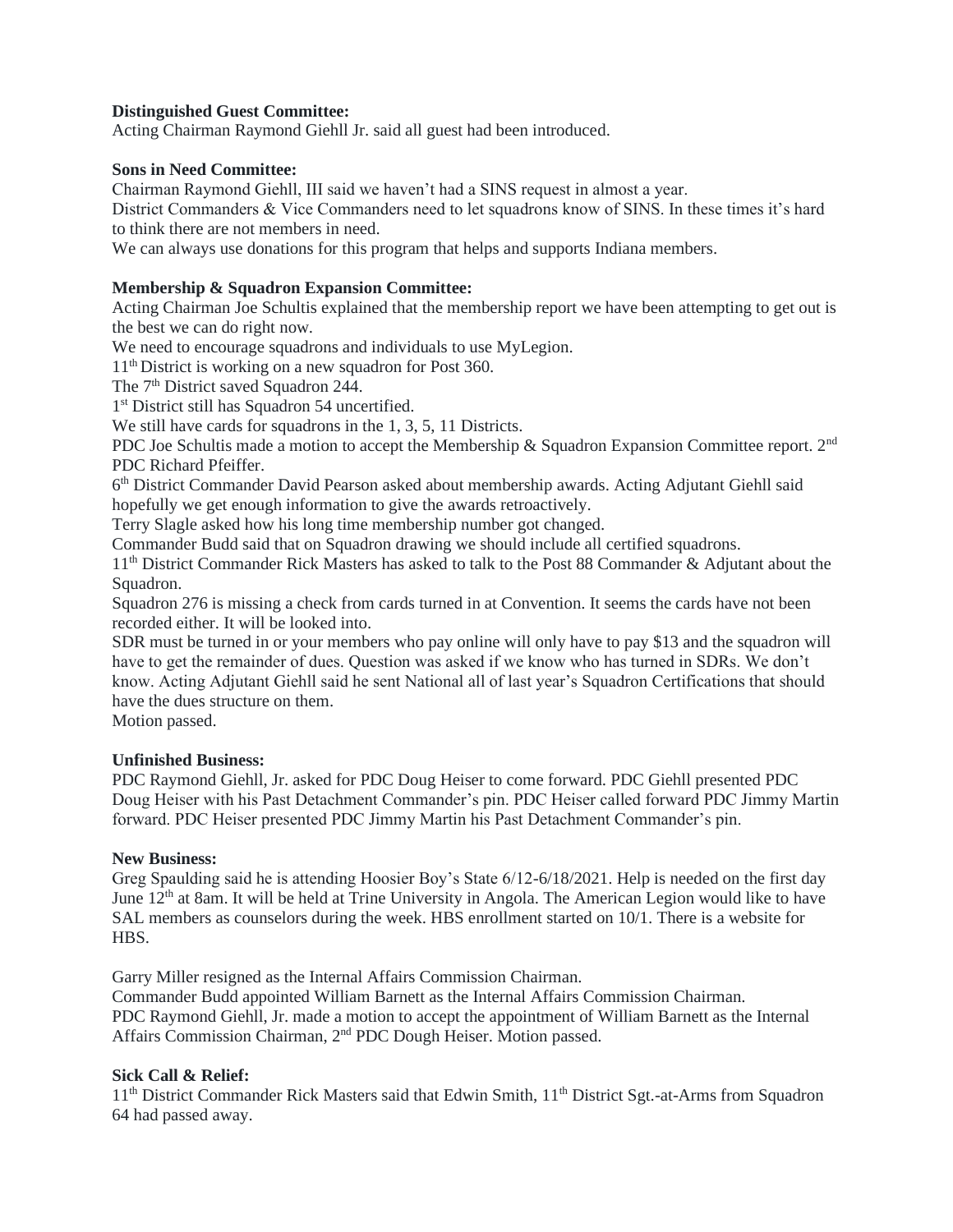## **Distinguished Guest Committee:**

Acting Chairman Raymond Giehll Jr. said all guest had been introduced.

## **Sons in Need Committee:**

Chairman Raymond Giehll, III said we haven't had a SINS request in almost a year.

District Commanders & Vice Commanders need to let squadrons know of SINS. In these times it's hard to think there are not members in need.

We can always use donations for this program that helps and supports Indiana members.

## **Membership & Squadron Expansion Committee:**

Acting Chairman Joe Schultis explained that the membership report we have been attempting to get out is the best we can do right now.

We need to encourage squadrons and individuals to use MyLegion.

11<sup>th</sup> District is working on a new squadron for Post 360.

The 7<sup>th</sup> District saved Squadron 244.

1 st District still has Squadron 54 uncertified.

We still have cards for squadrons in the 1, 3, 5, 11 Districts.

PDC Joe Schultis made a motion to accept the Membership & Squadron Expansion Committee report. 2<sup>nd</sup> PDC Richard Pfeiffer.

6<sup>th</sup> District Commander David Pearson asked about membership awards. Acting Adjutant Giehll said hopefully we get enough information to give the awards retroactively.

Terry Slagle asked how his long time membership number got changed.

Commander Budd said that on Squadron drawing we should include all certified squadrons.

11th District Commander Rick Masters has asked to talk to the Post 88 Commander & Adjutant about the Squadron.

Squadron 276 is missing a check from cards turned in at Convention. It seems the cards have not been recorded either. It will be looked into.

SDR must be turned in or your members who pay online will only have to pay \$13 and the squadron will have to get the remainder of dues. Question was asked if we know who has turned in SDRs. We don't know. Acting Adjutant Giehll said he sent National all of last year's Squadron Certifications that should have the dues structure on them.

Motion passed.

## **Unfinished Business:**

PDC Raymond Giehll, Jr. asked for PDC Doug Heiser to come forward. PDC Giehll presented PDC Doug Heiser with his Past Detachment Commander's pin. PDC Heiser called forward PDC Jimmy Martin forward. PDC Heiser presented PDC Jimmy Martin his Past Detachment Commander's pin.

## **New Business:**

Greg Spaulding said he is attending Hoosier Boy's State 6/12-6/18/2021. Help is needed on the first day June 12<sup>th</sup> at 8am. It will be held at Trine University in Angola. The American Legion would like to have SAL members as counselors during the week. HBS enrollment started on 10/1. There is a website for **HBS**.

Garry Miller resigned as the Internal Affairs Commission Chairman.

Commander Budd appointed William Barnett as the Internal Affairs Commission Chairman. PDC Raymond Giehll, Jr. made a motion to accept the appointment of William Barnett as the Internal Affairs Commission Chairman, 2nd PDC Dough Heiser. Motion passed.

## **Sick Call & Relief:**

11<sup>th</sup> District Commander Rick Masters said that Edwin Smith, 11<sup>th</sup> District Sgt.-at-Arms from Squadron 64 had passed away.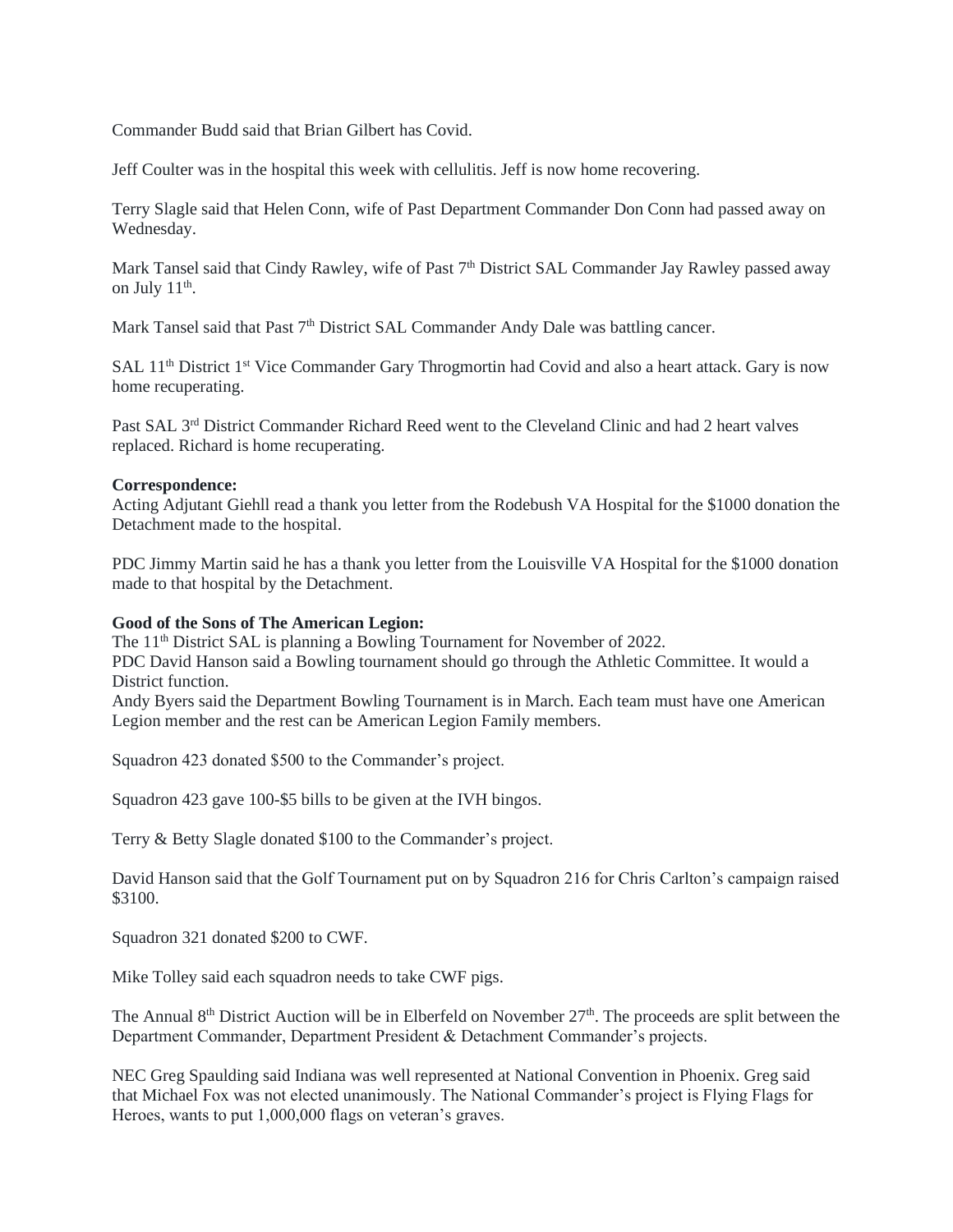Commander Budd said that Brian Gilbert has Covid.

Jeff Coulter was in the hospital this week with cellulitis. Jeff is now home recovering.

Terry Slagle said that Helen Conn, wife of Past Department Commander Don Conn had passed away on Wednesday.

Mark Tansel said that Cindy Rawley, wife of Past 7<sup>th</sup> District SAL Commander Jay Rawley passed away on July  $11^{\text{th}}$ .

Mark Tansel said that Past  $7<sup>th</sup>$  District SAL Commander Andy Dale was battling cancer.

SAL 11<sup>th</sup> District 1<sup>st</sup> Vice Commander Gary Throgmortin had Covid and also a heart attack. Gary is now home recuperating.

Past SAL 3rd District Commander Richard Reed went to the Cleveland Clinic and had 2 heart valves replaced. Richard is home recuperating.

#### **Correspondence:**

Acting Adjutant Giehll read a thank you letter from the Rodebush VA Hospital for the \$1000 donation the Detachment made to the hospital.

PDC Jimmy Martin said he has a thank you letter from the Louisville VA Hospital for the \$1000 donation made to that hospital by the Detachment.

### **Good of the Sons of The American Legion:**

The 11<sup>th</sup> District SAL is planning a Bowling Tournament for November of 2022. PDC David Hanson said a Bowling tournament should go through the Athletic Committee. It would a District function.

Andy Byers said the Department Bowling Tournament is in March. Each team must have one American Legion member and the rest can be American Legion Family members.

Squadron 423 donated \$500 to the Commander's project.

Squadron 423 gave 100-\$5 bills to be given at the IVH bingos.

Terry & Betty Slagle donated \$100 to the Commander's project.

David Hanson said that the Golf Tournament put on by Squadron 216 for Chris Carlton's campaign raised \$3100.

Squadron 321 donated \$200 to CWF.

Mike Tolley said each squadron needs to take CWF pigs.

The Annual 8<sup>th</sup> District Auction will be in Elberfeld on November 27<sup>th</sup>. The proceeds are split between the Department Commander, Department President & Detachment Commander's projects.

NEC Greg Spaulding said Indiana was well represented at National Convention in Phoenix. Greg said that Michael Fox was not elected unanimously. The National Commander's project is Flying Flags for Heroes, wants to put 1,000,000 flags on veteran's graves.